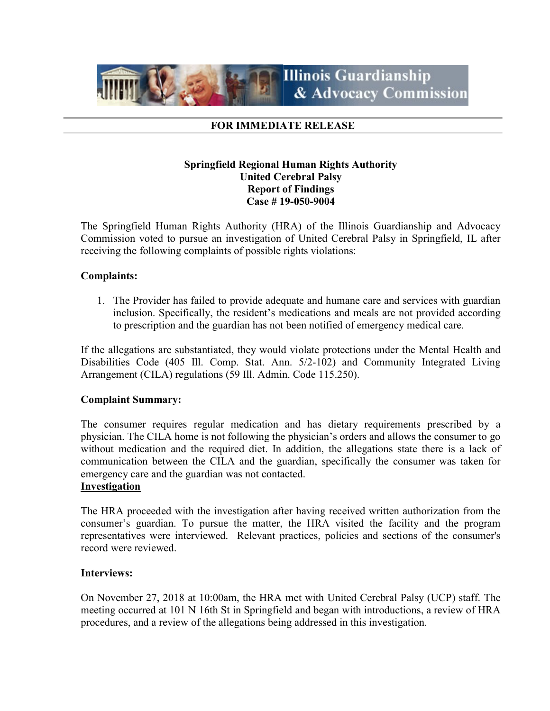

## FOR IMMEDIATE RELEASE

## Springfield Regional Human Rights Authority United Cerebral Palsy Report of Findings Case # 19-050-9004

The Springfield Human Rights Authority (HRA) of the Illinois Guardianship and Advocacy Commission voted to pursue an investigation of United Cerebral Palsy in Springfield, IL after receiving the following complaints of possible rights violations:

## Complaints:

1. The Provider has failed to provide adequate and humane care and services with guardian inclusion. Specifically, the resident's medications and meals are not provided according to prescription and the guardian has not been notified of emergency medical care.

If the allegations are substantiated, they would violate protections under the Mental Health and Disabilities Code (405 Ill. Comp. Stat. Ann. 5/2-102) and Community Integrated Living Arrangement (CILA) regulations (59 Ill. Admin. Code 115.250).

## Complaint Summary:

The consumer requires regular medication and has dietary requirements prescribed by a physician. The CILA home is not following the physician's orders and allows the consumer to go without medication and the required diet. In addition, the allegations state there is a lack of communication between the CILA and the guardian, specifically the consumer was taken for emergency care and the guardian was not contacted.

#### Investigation

The HRA proceeded with the investigation after having received written authorization from the consumer's guardian. To pursue the matter, the HRA visited the facility and the program representatives were interviewed. Relevant practices, policies and sections of the consumer's record were reviewed.

### Interviews:

On November 27, 2018 at 10:00am, the HRA met with United Cerebral Palsy (UCP) staff. The meeting occurred at 101 N 16th St in Springfield and began with introductions, a review of HRA procedures, and a review of the allegations being addressed in this investigation.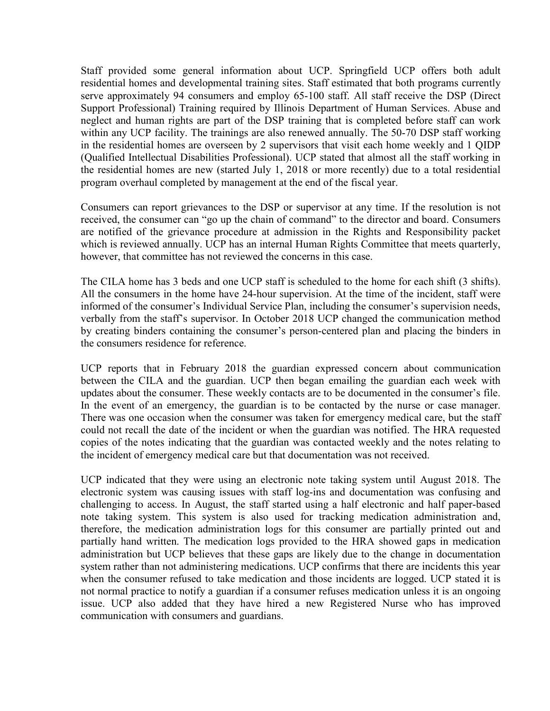Staff provided some general information about UCP. Springfield UCP offers both adult residential homes and developmental training sites. Staff estimated that both programs currently serve approximately 94 consumers and employ 65-100 staff. All staff receive the DSP (Direct Support Professional) Training required by Illinois Department of Human Services. Abuse and neglect and human rights are part of the DSP training that is completed before staff can work within any UCP facility. The trainings are also renewed annually. The 50-70 DSP staff working in the residential homes are overseen by 2 supervisors that visit each home weekly and 1 QIDP (Qualified Intellectual Disabilities Professional). UCP stated that almost all the staff working in the residential homes are new (started July 1, 2018 or more recently) due to a total residential program overhaul completed by management at the end of the fiscal year.

Consumers can report grievances to the DSP or supervisor at any time. If the resolution is not received, the consumer can "go up the chain of command" to the director and board. Consumers are notified of the grievance procedure at admission in the Rights and Responsibility packet which is reviewed annually. UCP has an internal Human Rights Committee that meets quarterly, however, that committee has not reviewed the concerns in this case.

The CILA home has 3 beds and one UCP staff is scheduled to the home for each shift (3 shifts). All the consumers in the home have 24-hour supervision. At the time of the incident, staff were informed of the consumer's Individual Service Plan, including the consumer's supervision needs, verbally from the staff's supervisor. In October 2018 UCP changed the communication method by creating binders containing the consumer's person-centered plan and placing the binders in the consumers residence for reference.

UCP reports that in February 2018 the guardian expressed concern about communication between the CILA and the guardian. UCP then began emailing the guardian each week with updates about the consumer. These weekly contacts are to be documented in the consumer's file. In the event of an emergency, the guardian is to be contacted by the nurse or case manager. There was one occasion when the consumer was taken for emergency medical care, but the staff could not recall the date of the incident or when the guardian was notified. The HRA requested copies of the notes indicating that the guardian was contacted weekly and the notes relating to the incident of emergency medical care but that documentation was not received.

UCP indicated that they were using an electronic note taking system until August 2018. The electronic system was causing issues with staff log-ins and documentation was confusing and challenging to access. In August, the staff started using a half electronic and half paper-based note taking system. This system is also used for tracking medication administration and, therefore, the medication administration logs for this consumer are partially printed out and partially hand written. The medication logs provided to the HRA showed gaps in medication administration but UCP believes that these gaps are likely due to the change in documentation system rather than not administering medications. UCP confirms that there are incidents this year when the consumer refused to take medication and those incidents are logged. UCP stated it is not normal practice to notify a guardian if a consumer refuses medication unless it is an ongoing issue. UCP also added that they have hired a new Registered Nurse who has improved communication with consumers and guardians.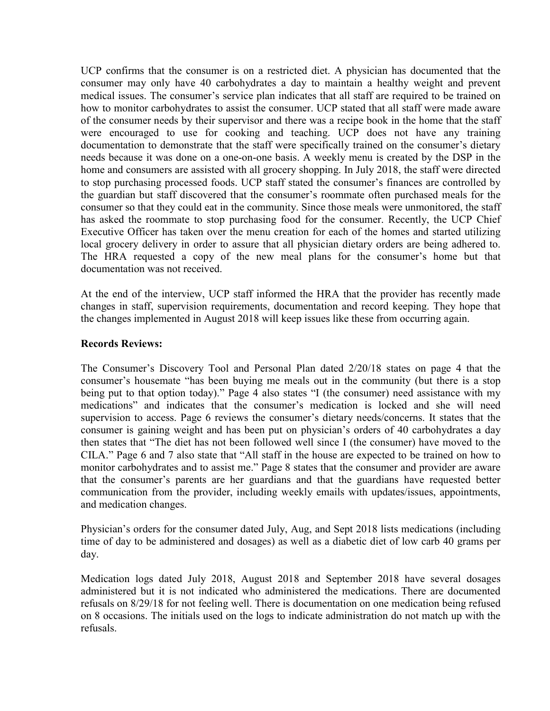UCP confirms that the consumer is on a restricted diet. A physician has documented that the consumer may only have 40 carbohydrates a day to maintain a healthy weight and prevent medical issues. The consumer's service plan indicates that all staff are required to be trained on how to monitor carbohydrates to assist the consumer. UCP stated that all staff were made aware of the consumer needs by their supervisor and there was a recipe book in the home that the staff were encouraged to use for cooking and teaching. UCP does not have any training documentation to demonstrate that the staff were specifically trained on the consumer's dietary needs because it was done on a one-on-one basis. A weekly menu is created by the DSP in the home and consumers are assisted with all grocery shopping. In July 2018, the staff were directed to stop purchasing processed foods. UCP staff stated the consumer's finances are controlled by the guardian but staff discovered that the consumer's roommate often purchased meals for the consumer so that they could eat in the community. Since those meals were unmonitored, the staff has asked the roommate to stop purchasing food for the consumer. Recently, the UCP Chief Executive Officer has taken over the menu creation for each of the homes and started utilizing local grocery delivery in order to assure that all physician dietary orders are being adhered to. The HRA requested a copy of the new meal plans for the consumer's home but that documentation was not received.

At the end of the interview, UCP staff informed the HRA that the provider has recently made changes in staff, supervision requirements, documentation and record keeping. They hope that the changes implemented in August 2018 will keep issues like these from occurring again.

## Records Reviews:

The Consumer's Discovery Tool and Personal Plan dated 2/20/18 states on page 4 that the consumer's housemate "has been buying me meals out in the community (but there is a stop being put to that option today)." Page 4 also states "I (the consumer) need assistance with my medications" and indicates that the consumer's medication is locked and she will need supervision to access. Page 6 reviews the consumer's dietary needs/concerns. It states that the consumer is gaining weight and has been put on physician's orders of 40 carbohydrates a day then states that "The diet has not been followed well since I (the consumer) have moved to the CILA." Page 6 and 7 also state that "All staff in the house are expected to be trained on how to monitor carbohydrates and to assist me." Page 8 states that the consumer and provider are aware that the consumer's parents are her guardians and that the guardians have requested better communication from the provider, including weekly emails with updates/issues, appointments, and medication changes.

Physician's orders for the consumer dated July, Aug, and Sept 2018 lists medications (including time of day to be administered and dosages) as well as a diabetic diet of low carb 40 grams per day.

Medication logs dated July 2018, August 2018 and September 2018 have several dosages administered but it is not indicated who administered the medications. There are documented refusals on 8/29/18 for not feeling well. There is documentation on one medication being refused on 8 occasions. The initials used on the logs to indicate administration do not match up with the refusals.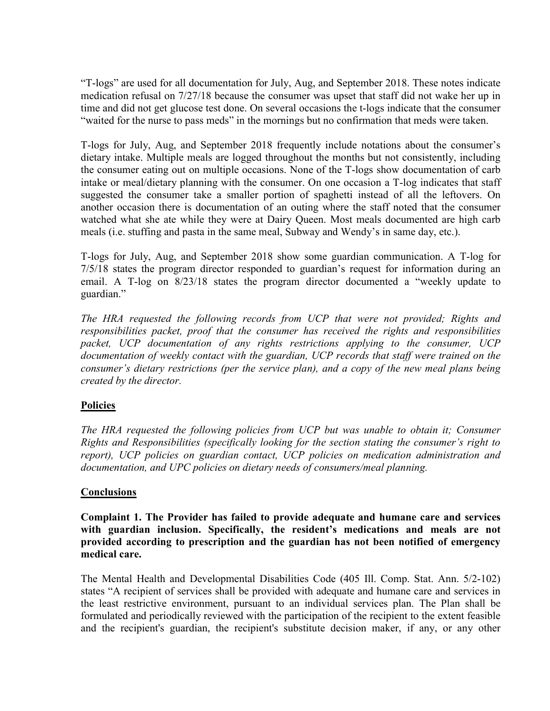"T-logs" are used for all documentation for July, Aug, and September 2018. These notes indicate medication refusal on 7/27/18 because the consumer was upset that staff did not wake her up in time and did not get glucose test done. On several occasions the t-logs indicate that the consumer "waited for the nurse to pass meds" in the mornings but no confirmation that meds were taken.

T-logs for July, Aug, and September 2018 frequently include notations about the consumer's dietary intake. Multiple meals are logged throughout the months but not consistently, including the consumer eating out on multiple occasions. None of the T-logs show documentation of carb intake or meal/dietary planning with the consumer. On one occasion a T-log indicates that staff suggested the consumer take a smaller portion of spaghetti instead of all the leftovers. On another occasion there is documentation of an outing where the staff noted that the consumer watched what she ate while they were at Dairy Queen. Most meals documented are high carb meals (i.e. stuffing and pasta in the same meal, Subway and Wendy's in same day, etc.).

T-logs for July, Aug, and September 2018 show some guardian communication. A T-log for 7/5/18 states the program director responded to guardian's request for information during an email. A T-log on 8/23/18 states the program director documented a "weekly update to guardian."

The HRA requested the following records from UCP that were not provided; Rights and responsibilities packet, proof that the consumer has received the rights and responsibilities packet, UCP documentation of any rights restrictions applying to the consumer, UCP documentation of weekly contact with the guardian, UCP records that staff were trained on the consumer's dietary restrictions (per the service plan), and a copy of the new meal plans being created by the director.

# Policies

The HRA requested the following policies from UCP but was unable to obtain it; Consumer Rights and Responsibilities (specifically looking for the section stating the consumer's right to report), UCP policies on guardian contact, UCP policies on medication administration and documentation, and UPC policies on dietary needs of consumers/meal planning.

# **Conclusions**

Complaint 1. The Provider has failed to provide adequate and humane care and services with guardian inclusion. Specifically, the resident's medications and meals are not provided according to prescription and the guardian has not been notified of emergency medical care.

The Mental Health and Developmental Disabilities Code (405 Ill. Comp. Stat. Ann. 5/2-102) states "A recipient of services shall be provided with adequate and humane care and services in the least restrictive environment, pursuant to an individual services plan. The Plan shall be formulated and periodically reviewed with the participation of the recipient to the extent feasible and the recipient's guardian, the recipient's substitute decision maker, if any, or any other